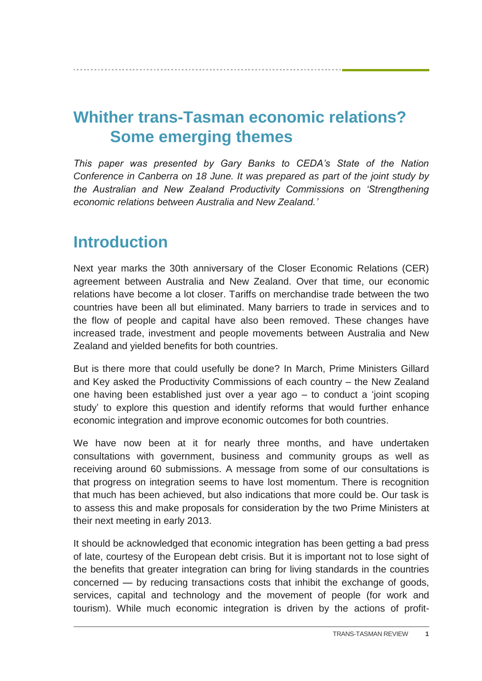# **Whither trans-Tasman economic relations? Some emerging themes**

*This paper was presented by Gary Banks to CEDA's State of the Nation Conference in Canberra on 18 June. It was prepared as part of the joint study by the Australian and New Zealand Productivity Commissions on 'Strengthening economic relations between Australia and New Zealand.'*

## **Introduction**

Next year marks the 30th anniversary of the Closer Economic Relations (CER) agreement between Australia and New Zealand. Over that time, our economic relations have become a lot closer. Tariffs on merchandise trade between the two countries have been all but eliminated. Many barriers to trade in services and to the flow of people and capital have also been removed. These changes have increased trade, investment and people movements between Australia and New Zealand and yielded benefits for both countries.

But is there more that could usefully be done? In March, Prime Ministers Gillard and Key asked the Productivity Commissions of each country – the New Zealand one having been established just over a year ago – to conduct a 'joint scoping study' to explore this question and identify reforms that would further enhance economic integration and improve economic outcomes for both countries.

We have now been at it for nearly three months, and have undertaken consultations with government, business and community groups as well as receiving around 60 submissions. A message from some of our consultations is that progress on integration seems to have lost momentum. There is recognition that much has been achieved, but also indications that more could be. Our task is to assess this and make proposals for consideration by the two Prime Ministers at their next meeting in early 2013.

It should be acknowledged that economic integration has been getting a bad press of late, courtesy of the European debt crisis. But it is important not to lose sight of the benefits that greater integration can bring for living standards in the countries concerned — by reducing transactions costs that inhibit the exchange of goods, services, capital and technology and the movement of people (for work and tourism). While much economic integration is driven by the actions of profit-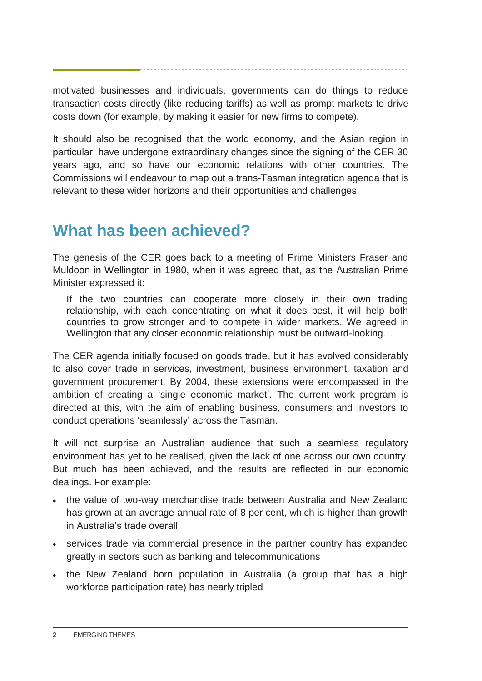motivated businesses and individuals, governments can do things to reduce transaction costs directly (like reducing tariffs) as well as prompt markets to drive costs down (for example, by making it easier for new firms to compete).

It should also be recognised that the world economy, and the Asian region in particular, have undergone extraordinary changes since the signing of the CER 30 years ago, and so have our economic relations with other countries. The Commissions will endeavour to map out a trans-Tasman integration agenda that is relevant to these wider horizons and their opportunities and challenges.

# **What has been achieved?**

The genesis of the CER goes back to a meeting of Prime Ministers Fraser and Muldoon in Wellington in 1980, when it was agreed that, as the Australian Prime Minister expressed it:

If the two countries can cooperate more closely in their own trading relationship, with each concentrating on what it does best, it will help both countries to grow stronger and to compete in wider markets. We agreed in Wellington that any closer economic relationship must be outward-looking...

The CER agenda initially focused on goods trade, but it has evolved considerably to also cover trade in services, investment, business environment, taxation and government procurement. By 2004, these extensions were encompassed in the ambition of creating a 'single economic market'. The current work program is directed at this, with the aim of enabling business, consumers and investors to conduct operations 'seamlessly' across the Tasman.

It will not surprise an Australian audience that such a seamless regulatory environment has yet to be realised, given the lack of one across our own country. But much has been achieved, and the results are reflected in our economic dealings. For example:

- the value of two-way merchandise trade between Australia and New Zealand has grown at an average annual rate of 8 per cent, which is higher than growth in Australia's trade overall
- services trade via commercial presence in the partner country has expanded greatly in sectors such as banking and telecommunications
- the New Zealand born population in Australia (a group that has a high workforce participation rate) has nearly tripled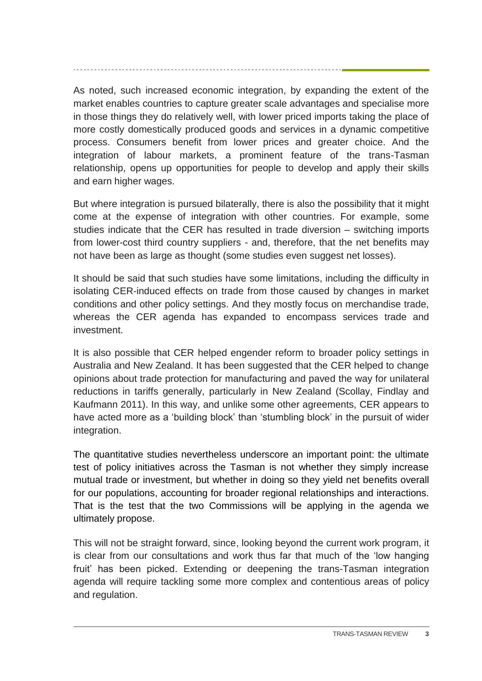As noted, such increased economic integration, by expanding the extent of the market enables countries to capture greater scale advantages and specialise more in those things they do relatively well, with lower priced imports taking the place of more costly domestically produced goods and services in a dynamic competitive process. Consumers benefit from lower prices and greater choice. And the integration of labour markets, a prominent feature of the trans-Tasman relationship, opens up opportunities for people to develop and apply their skills and earn higher wages.

But where integration is pursued bilaterally, there is also the possibility that it might come at the expense of integration with other countries. For example, some studies indicate that the CER has resulted in trade diversion – switching imports from lower-cost third country suppliers - and, therefore, that the net benefits may not have been as large as thought (some studies even suggest net losses).

It should be said that such studies have some limitations, including the difficulty in isolating CER-induced effects on trade from those caused by changes in market conditions and other policy settings. And they mostly focus on merchandise trade, whereas the CER agenda has expanded to encompass services trade and investment.

It is also possible that CER helped engender reform to broader policy settings in Australia and New Zealand. It has been suggested that the CER helped to change opinions about trade protection for manufacturing and paved the way for unilateral reductions in tariffs generally, particularly in New Zealand (Scollay, Findlay and Kaufmann 2011). In this way, and unlike some other agreements, CER appears to have acted more as a 'building block' than 'stumbling block' in the pursuit of wider integration.

The quantitative studies nevertheless underscore an important point: the ultimate test of policy initiatives across the Tasman is not whether they simply increase mutual trade or investment, but whether in doing so they yield net benefits overall for our populations, accounting for broader regional relationships and interactions. That is the test that the two Commissions will be applying in the agenda we ultimately propose.

This will not be straight forward, since, looking beyond the current work program, it is clear from our consultations and work thus far that much of the 'low hanging fruit' has been picked. Extending or deepening the trans-Tasman integration agenda will require tackling some more complex and contentious areas of policy and regulation.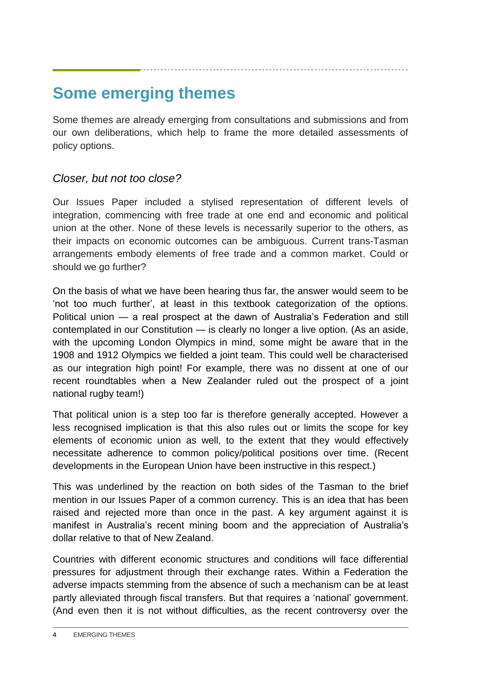### **Some emerging themes**

Some themes are already emerging from consultations and submissions and from our own deliberations, which help to frame the more detailed assessments of policy options.

#### *Closer, but not too close?*

Our Issues Paper included a stylised representation of different levels of integration, commencing with free trade at one end and economic and political union at the other. None of these levels is necessarily superior to the others, as their impacts on economic outcomes can be ambiguous. Current trans-Tasman arrangements embody elements of free trade and a common market. Could or should we go further?

On the basis of what we have been hearing thus far, the answer would seem to be 'not too much further', at least in this textbook categorization of the options. Political union — a real prospect at the dawn of Australia's Federation and still contemplated in our Constitution — is clearly no longer a live option. (As an aside, with the upcoming London Olympics in mind, some might be aware that in the 1908 and 1912 Olympics we fielded a joint team. This could well be characterised as our integration high point! For example, there was no dissent at one of our recent roundtables when a New Zealander ruled out the prospect of a joint national rugby team!)

That political union is a step too far is therefore generally accepted. However a less recognised implication is that this also rules out or limits the scope for key elements of economic union as well, to the extent that they would effectively necessitate adherence to common policy/political positions over time. (Recent developments in the European Union have been instructive in this respect.)

This was underlined by the reaction on both sides of the Tasman to the brief mention in our Issues Paper of a common currency. This is an idea that has been raised and rejected more than once in the past. A key argument against it is manifest in Australia's recent mining boom and the appreciation of Australia's dollar relative to that of New Zealand.

Countries with different economic structures and conditions will face differential pressures for adjustment through their exchange rates. Within a Federation the adverse impacts stemming from the absence of such a mechanism can be at least partly alleviated through fiscal transfers. But that requires a 'national' government. (And even then it is not without difficulties, as the recent controversy over the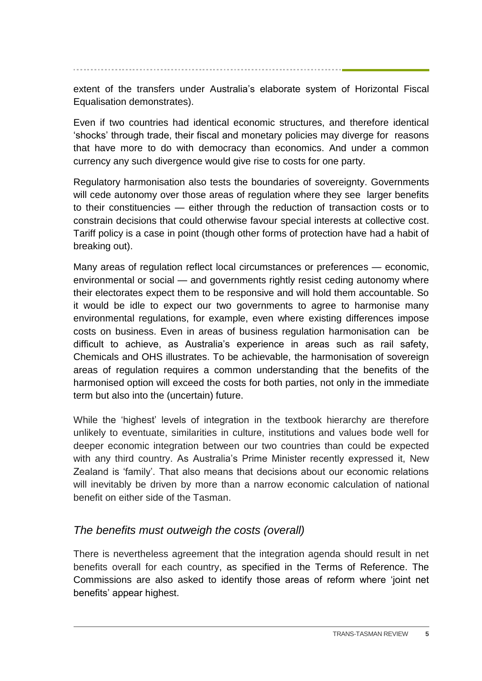extent of the transfers under Australia's elaborate system of Horizontal Fiscal Equalisation demonstrates).

Even if two countries had identical economic structures, and therefore identical 'shocks' through trade, their fiscal and monetary policies may diverge for reasons that have more to do with democracy than economics. And under a common currency any such divergence would give rise to costs for one party.

Regulatory harmonisation also tests the boundaries of sovereignty. Governments will cede autonomy over those areas of regulation where they see larger benefits to their constituencies — either through the reduction of transaction costs or to constrain decisions that could otherwise favour special interests at collective cost. Tariff policy is a case in point (though other forms of protection have had a habit of breaking out).

Many areas of regulation reflect local circumstances or preferences — economic, environmental or social — and governments rightly resist ceding autonomy where their electorates expect them to be responsive and will hold them accountable. So it would be idle to expect our two governments to agree to harmonise many environmental regulations, for example, even where existing differences impose costs on business. Even in areas of business regulation harmonisation can be difficult to achieve, as Australia's experience in areas such as rail safety, Chemicals and OHS illustrates. To be achievable, the harmonisation of sovereign areas of regulation requires a common understanding that the benefits of the harmonised option will exceed the costs for both parties, not only in the immediate term but also into the (uncertain) future.

While the 'highest' levels of integration in the textbook hierarchy are therefore unlikely to eventuate, similarities in culture, institutions and values bode well for deeper economic integration between our two countries than could be expected with any third country. As Australia's Prime Minister recently expressed it, New Zealand is 'family'. That also means that decisions about our economic relations will inevitably be driven by more than a narrow economic calculation of national benefit on either side of the Tasman.

### *The benefits must outweigh the costs (overall)*

There is nevertheless agreement that the integration agenda should result in net benefits overall for each country, as specified in the Terms of Reference. The Commissions are also asked to identify those areas of reform where 'joint net benefits' appear highest.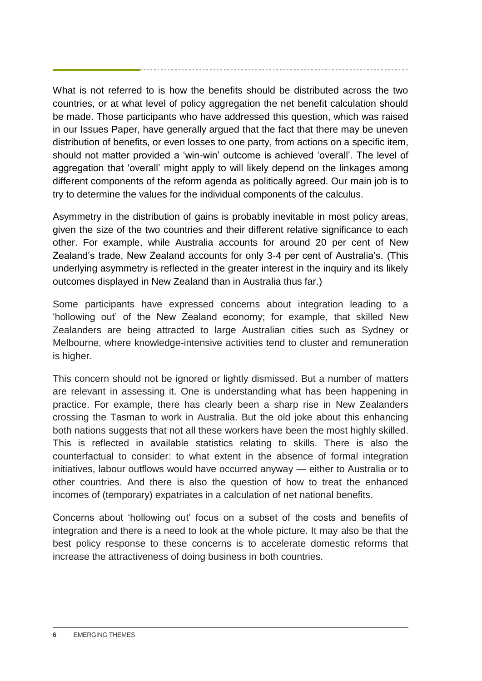What is not referred to is how the benefits should be distributed across the two countries, or at what level of policy aggregation the net benefit calculation should be made. Those participants who have addressed this question, which was raised in our Issues Paper, have generally argued that the fact that there may be uneven distribution of benefits, or even losses to one party, from actions on a specific item, should not matter provided a 'win-win' outcome is achieved 'overall'. The level of aggregation that 'overall' might apply to will likely depend on the linkages among different components of the reform agenda as politically agreed. Our main job is to try to determine the values for the individual components of the calculus.

Asymmetry in the distribution of gains is probably inevitable in most policy areas, given the size of the two countries and their different relative significance to each other. For example, while Australia accounts for around 20 per cent of New Zealand's trade, New Zealand accounts for only 3-4 per cent of Australia's. (This underlying asymmetry is reflected in the greater interest in the inquiry and its likely outcomes displayed in New Zealand than in Australia thus far.)

Some participants have expressed concerns about integration leading to a 'hollowing out' of the New Zealand economy; for example, that skilled New Zealanders are being attracted to large Australian cities such as Sydney or Melbourne, where knowledge-intensive activities tend to cluster and remuneration is higher.

This concern should not be ignored or lightly dismissed. But a number of matters are relevant in assessing it. One is understanding what has been happening in practice. For example, there has clearly been a sharp rise in New Zealanders crossing the Tasman to work in Australia. But the old joke about this enhancing both nations suggests that not all these workers have been the most highly skilled. This is reflected in available statistics relating to skills. There is also the counterfactual to consider: to what extent in the absence of formal integration initiatives, labour outflows would have occurred anyway — either to Australia or to other countries. And there is also the question of how to treat the enhanced incomes of (temporary) expatriates in a calculation of net national benefits.

Concerns about 'hollowing out' focus on a subset of the costs and benefits of integration and there is a need to look at the whole picture. It may also be that the best policy response to these concerns is to accelerate domestic reforms that increase the attractiveness of doing business in both countries.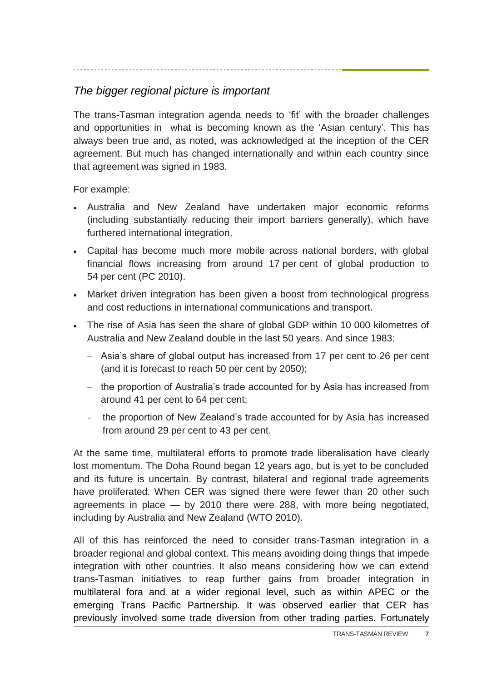### *The bigger regional picture is important*

The trans-Tasman integration agenda needs to 'fit' with the broader challenges and opportunities in what is becoming known as the 'Asian century'. This has always been true and, as noted, was acknowledged at the inception of the CER agreement. But much has changed internationally and within each country since that agreement was signed in 1983.

For example:

- Australia and New Zealand have undertaken major economic reforms (including substantially reducing their import barriers generally), which have furthered international integration.
- Capital has become much more mobile across national borders, with global financial flows increasing from around 17 per cent of global production to 54 per cent (PC 2010).
- Market driven integration has been given a boost from technological progress and cost reductions in international communications and transport.
- The rise of Asia has seen the share of global GDP within 10 000 kilometres of Australia and New Zealand double in the last 50 years. And since 1983:
	- Asia's share of global output has increased from 17 per cent to 26 per cent (and it is forecast to reach 50 per cent by 2050);
	- the proportion of Australia's trade accounted for by Asia has increased from around 41 per cent to 64 per cent;
	- the proportion of New Zealand's trade accounted for by Asia has increased from around 29 per cent to 43 per cent.

At the same time, multilateral efforts to promote trade liberalisation have clearly lost momentum. The Doha Round began 12 years ago, but is yet to be concluded and its future is uncertain. By contrast, bilateral and regional trade agreements have proliferated. When CER was signed there were fewer than 20 other such agreements in place — by 2010 there were 288, with more being negotiated, including by Australia and New Zealand (WTO 2010).

All of this has reinforced the need to consider trans-Tasman integration in a broader regional and global context. This means avoiding doing things that impede integration with other countries. It also means considering how we can extend trans-Tasman initiatives to reap further gains from broader integration in multilateral fora and at a wider regional level, such as within APEC or the emerging Trans Pacific Partnership. It was observed earlier that CER has previously involved some trade diversion from other trading parties. Fortunately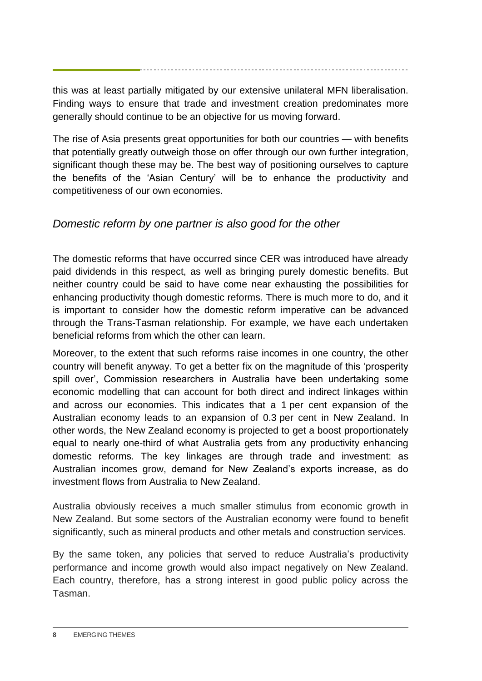this was at least partially mitigated by our extensive unilateral MFN liberalisation. Finding ways to ensure that trade and investment creation predominates more generally should continue to be an objective for us moving forward.

The rise of Asia presents great opportunities for both our countries — with benefits that potentially greatly outweigh those on offer through our own further integration, significant though these may be. The best way of positioning ourselves to capture the benefits of the 'Asian Century' will be to enhance the productivity and competitiveness of our own economies.

### *Domestic reform by one partner is also good for the other*

The domestic reforms that have occurred since CER was introduced have already paid dividends in this respect, as well as bringing purely domestic benefits. But neither country could be said to have come near exhausting the possibilities for enhancing productivity though domestic reforms. There is much more to do, and it is important to consider how the domestic reform imperative can be advanced through the Trans-Tasman relationship. For example, we have each undertaken beneficial reforms from which the other can learn.

Moreover, to the extent that such reforms raise incomes in one country, the other country will benefit anyway. To get a better fix on the magnitude of this 'prosperity spill over', Commission researchers in Australia have been undertaking some economic modelling that can account for both direct and indirect linkages within and across our economies. This indicates that a 1 per cent expansion of the Australian economy leads to an expansion of 0.3 per cent in New Zealand. In other words, the New Zealand economy is projected to get a boost proportionately equal to nearly one-third of what Australia gets from any productivity enhancing domestic reforms. The key linkages are through trade and investment: as Australian incomes grow, demand for New Zealand's exports increase, as do investment flows from Australia to New Zealand.

Australia obviously receives a much smaller stimulus from economic growth in New Zealand. But some sectors of the Australian economy were found to benefit significantly, such as mineral products and other metals and construction services.

By the same token, any policies that served to reduce Australia's productivity performance and income growth would also impact negatively on New Zealand. Each country, therefore, has a strong interest in good public policy across the Tasman.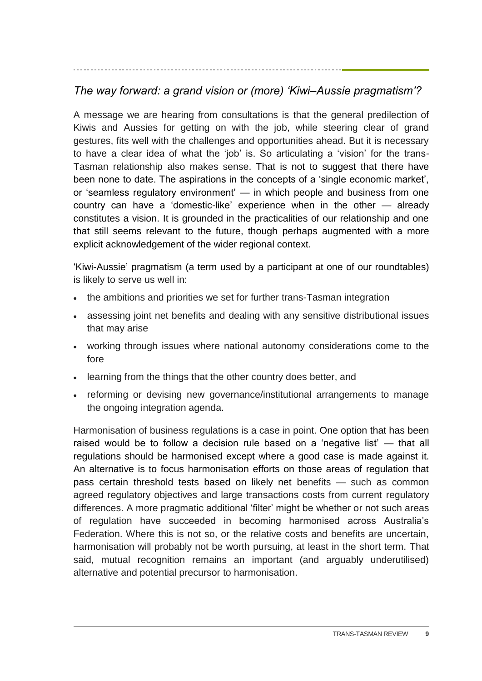### *The way forward: a grand vision or (more) 'Kiwi–Aussie pragmatism'?*

A message we are hearing from consultations is that the general predilection of Kiwis and Aussies for getting on with the job, while steering clear of grand gestures, fits well with the challenges and opportunities ahead. But it is necessary to have a clear idea of what the 'job' is. So articulating a 'vision' for the trans-Tasman relationship also makes sense. That is not to suggest that there have been none to date. The aspirations in the concepts of a 'single economic market', or 'seamless regulatory environment' — in which people and business from one country can have a 'domestic-like' experience when in the other — already constitutes a vision. It is grounded in the practicalities of our relationship and one that still seems relevant to the future, though perhaps augmented with a more explicit acknowledgement of the wider regional context.

'Kiwi-Aussie' pragmatism (a term used by a participant at one of our roundtables) is likely to serve us well in:

- the ambitions and priorities we set for further trans-Tasman integration
- assessing joint net benefits and dealing with any sensitive distributional issues that may arise
- working through issues where national autonomy considerations come to the fore
- learning from the things that the other country does better, and
- reforming or devising new governance/institutional arrangements to manage the ongoing integration agenda.

Harmonisation of business regulations is a case in point. One option that has been raised would be to follow a decision rule based on a 'negative list' — that all regulations should be harmonised except where a good case is made against it. An alternative is to focus harmonisation efforts on those areas of regulation that pass certain threshold tests based on likely net benefits — such as common agreed regulatory objectives and large transactions costs from current regulatory differences. A more pragmatic additional 'filter' might be whether or not such areas of regulation have succeeded in becoming harmonised across Australia's Federation. Where this is not so, or the relative costs and benefits are uncertain, harmonisation will probably not be worth pursuing, at least in the short term. That said, mutual recognition remains an important (and arguably underutilised) alternative and potential precursor to harmonisation.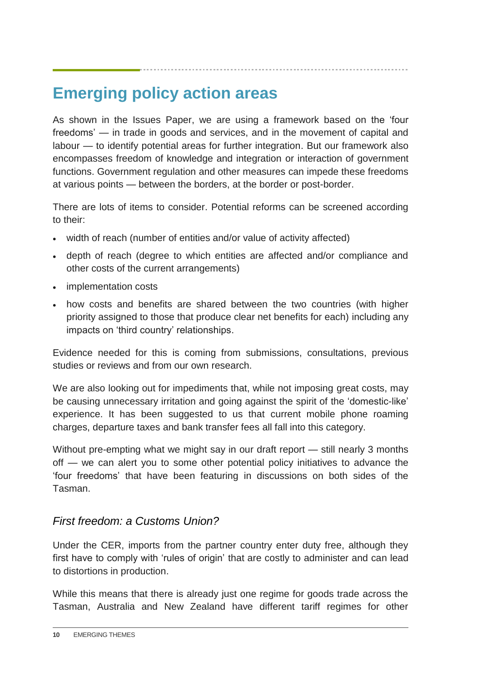# **Emerging policy action areas**

As shown in the Issues Paper, we are using a framework based on the 'four freedoms' — in trade in goods and services, and in the movement of capital and labour — to identify potential areas for further integration. But our framework also encompasses freedom of knowledge and integration or interaction of government functions. Government regulation and other measures can impede these freedoms at various points — between the borders, at the border or post-border.

There are lots of items to consider. Potential reforms can be screened according to their:

- width of reach (number of entities and/or value of activity affected)
- depth of reach (degree to which entities are affected and/or compliance and other costs of the current arrangements)
- implementation costs
- how costs and benefits are shared between the two countries (with higher priority assigned to those that produce clear net benefits for each) including any impacts on 'third country' relationships.

Evidence needed for this is coming from submissions, consultations, previous studies or reviews and from our own research.

We are also looking out for impediments that, while not imposing great costs, may be causing unnecessary irritation and going against the spirit of the 'domestic-like' experience. It has been suggested to us that current mobile phone roaming charges, departure taxes and bank transfer fees all fall into this category.

Without pre-empting what we might say in our draft report — still nearly 3 months off — we can alert you to some other potential policy initiatives to advance the 'four freedoms' that have been featuring in discussions on both sides of the Tasman.

### *First freedom: a Customs Union?*

Under the CER, imports from the partner country enter duty free, although they first have to comply with 'rules of origin' that are costly to administer and can lead to distortions in production.

While this means that there is already just one regime for goods trade across the Tasman, Australia and New Zealand have different tariff regimes for other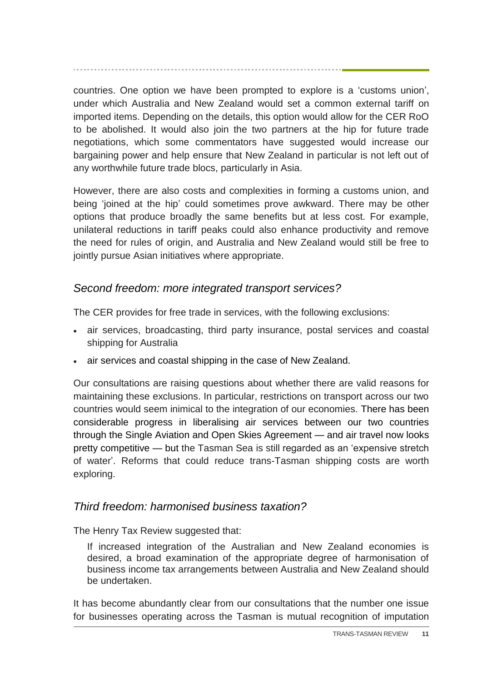countries. One option we have been prompted to explore is a 'customs union', under which Australia and New Zealand would set a common external tariff on imported items. Depending on the details, this option would allow for the CER RoO to be abolished. It would also join the two partners at the hip for future trade negotiations, which some commentators have suggested would increase our bargaining power and help ensure that New Zealand in particular is not left out of any worthwhile future trade blocs, particularly in Asia.

However, there are also costs and complexities in forming a customs union, and being 'joined at the hip' could sometimes prove awkward. There may be other options that produce broadly the same benefits but at less cost. For example, unilateral reductions in tariff peaks could also enhance productivity and remove the need for rules of origin, and Australia and New Zealand would still be free to jointly pursue Asian initiatives where appropriate.

#### *Second freedom: more integrated transport services?*

The CER provides for free trade in services, with the following exclusions:

- air services, broadcasting, third party insurance, postal services and coastal shipping for Australia
- air services and coastal shipping in the case of New Zealand.

Our consultations are raising questions about whether there are valid reasons for maintaining these exclusions. In particular, restrictions on transport across our two countries would seem inimical to the integration of our economies. There has been considerable progress in liberalising air services between our two countries through the Single Aviation and Open Skies Agreement — and air travel now looks pretty competitive — but the Tasman Sea is still regarded as an 'expensive stretch of water'. Reforms that could reduce trans-Tasman shipping costs are worth exploring.

### *Third freedom: harmonised business taxation?*

The Henry Tax Review suggested that:

If increased integration of the Australian and New Zealand economies is desired, a broad examination of the appropriate degree of harmonisation of business income tax arrangements between Australia and New Zealand should be undertaken.

It has become abundantly clear from our consultations that the number one issue for businesses operating across the Tasman is mutual recognition of imputation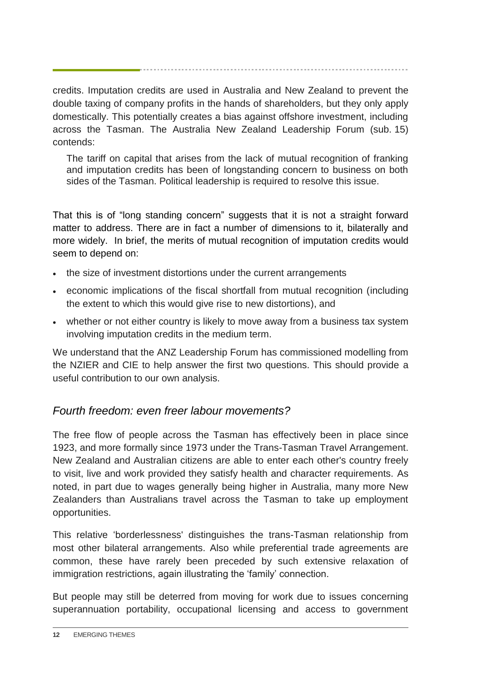credits. Imputation credits are used in Australia and New Zealand to prevent the double taxing of company profits in the hands of shareholders, but they only apply domestically. This potentially creates a bias against offshore investment, including across the Tasman. The Australia New Zealand Leadership Forum (sub. 15) contends:

The tariff on capital that arises from the lack of mutual recognition of franking and imputation credits has been of longstanding concern to business on both sides of the Tasman. Political leadership is required to resolve this issue.

That this is of "long standing concern" suggests that it is not a straight forward matter to address. There are in fact a number of dimensions to it, bilaterally and more widely. In brief, the merits of mutual recognition of imputation credits would seem to depend on:

- the size of investment distortions under the current arrangements
- economic implications of the fiscal shortfall from mutual recognition (including the extent to which this would give rise to new distortions), and
- whether or not either country is likely to move away from a business tax system involving imputation credits in the medium term.

We understand that the ANZ Leadership Forum has commissioned modelling from the NZIER and CIE to help answer the first two questions. This should provide a useful contribution to our own analysis.

### *Fourth freedom: even freer labour movements?*

The free flow of people across the Tasman has effectively been in place since 1923, and more formally since 1973 under the Trans-Tasman Travel Arrangement. New Zealand and Australian citizens are able to enter each other's country freely to visit, live and work provided they satisfy health and character requirements. As noted, in part due to wages generally being higher in Australia, many more New Zealanders than Australians travel across the Tasman to take up employment opportunities.

This relative 'borderlessness' distinguishes the trans-Tasman relationship from most other bilateral arrangements. Also while preferential trade agreements are common, these have rarely been preceded by such extensive relaxation of immigration restrictions, again illustrating the 'family' connection.

But people may still be deterred from moving for work due to issues concerning superannuation portability, occupational licensing and access to government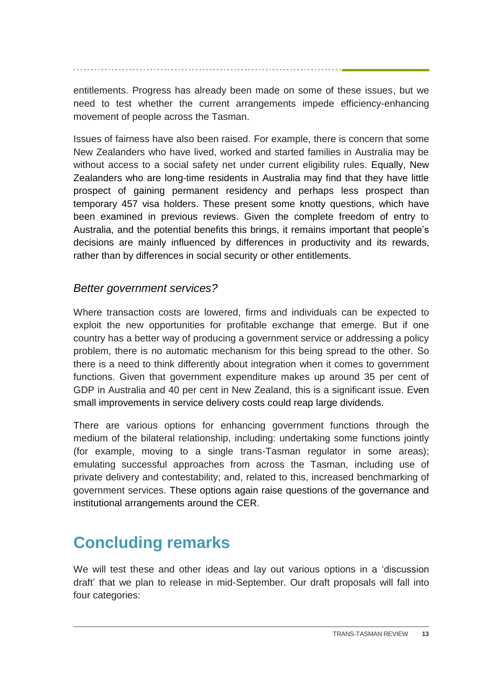entitlements. Progress has already been made on some of these issues, but we need to test whether the current arrangements impede efficiency-enhancing movement of people across the Tasman.

Issues of fairness have also been raised. For example, there is concern that some New Zealanders who have lived, worked and started families in Australia may be without access to a social safety net under current eligibility rules. Equally, New Zealanders who are long-time residents in Australia may find that they have little prospect of gaining permanent residency and perhaps less prospect than temporary 457 visa holders. These present some knotty questions, which have been examined in previous reviews. Given the complete freedom of entry to Australia, and the potential benefits this brings, it remains important that people's decisions are mainly influenced by differences in productivity and its rewards, rather than by differences in social security or other entitlements.

#### *Better government services?*

Where transaction costs are lowered, firms and individuals can be expected to exploit the new opportunities for profitable exchange that emerge. But if one country has a better way of producing a government service or addressing a policy problem, there is no automatic mechanism for this being spread to the other. So there is a need to think differently about integration when it comes to government functions. Given that government expenditure makes up around 35 per cent of GDP in Australia and 40 per cent in New Zealand, this is a significant issue. Even small improvements in service delivery costs could reap large dividends.

There are various options for enhancing government functions through the medium of the bilateral relationship, including: undertaking some functions jointly (for example, moving to a single trans-Tasman regulator in some areas); emulating successful approaches from across the Tasman, including use of private delivery and contestability; and, related to this, increased benchmarking of government services. These options again raise questions of the governance and institutional arrangements around the CER.

# **Concluding remarks**

We will test these and other ideas and lay out various options in a 'discussion draft' that we plan to release in mid-September. Our draft proposals will fall into four categories: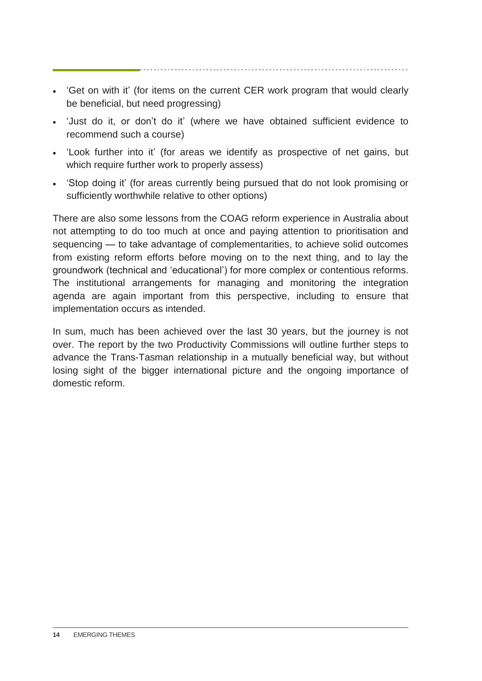- 'Get on with it' (for items on the current CER work program that would clearly be beneficial, but need progressing)
- 'Just do it, or don't do it' (where we have obtained sufficient evidence to recommend such a course)
- 'Look further into it' (for areas we identify as prospective of net gains, but which require further work to properly assess)
- 'Stop doing it' (for areas currently being pursued that do not look promising or sufficiently worthwhile relative to other options)

There are also some lessons from the COAG reform experience in Australia about not attempting to do too much at once and paying attention to prioritisation and sequencing — to take advantage of complementarities, to achieve solid outcomes from existing reform efforts before moving on to the next thing, and to lay the groundwork (technical and 'educational') for more complex or contentious reforms. The institutional arrangements for managing and monitoring the integration agenda are again important from this perspective, including to ensure that implementation occurs as intended.

In sum, much has been achieved over the last 30 years, but the journey is not over. The report by the two Productivity Commissions will outline further steps to advance the Trans-Tasman relationship in a mutually beneficial way, but without losing sight of the bigger international picture and the ongoing importance of domestic reform.